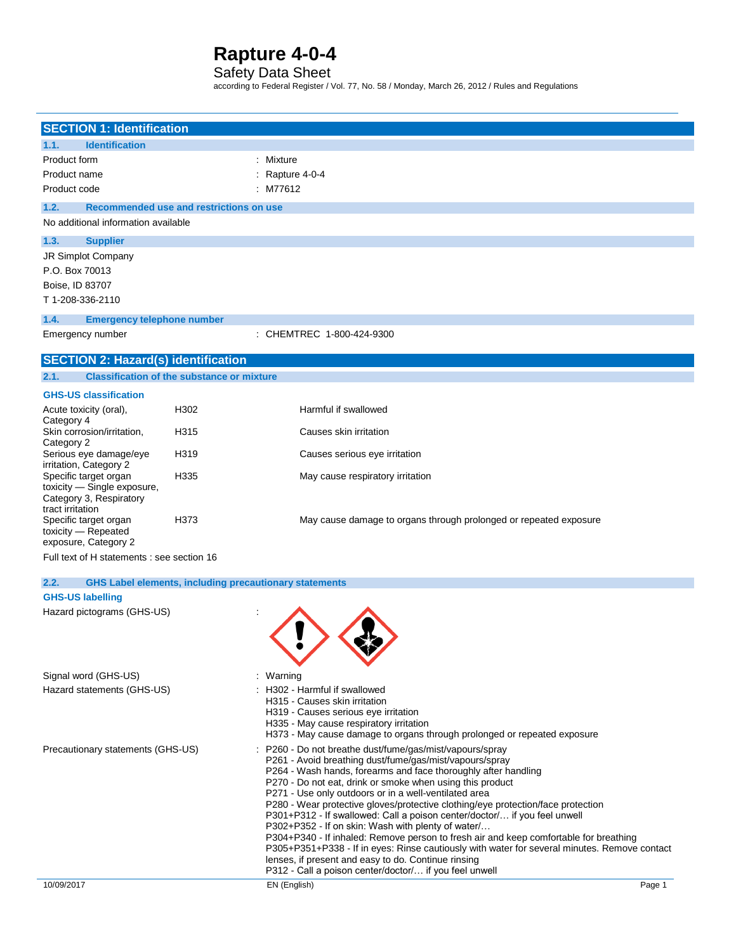### Safety Data Sheet

according to Federal Register / Vol. 77, No. 58 / Monday, March 26, 2012 / Rules and Regulations

| <b>SECTION 1: Identification</b>                     |                                                               |                                                                                                                                             |
|------------------------------------------------------|---------------------------------------------------------------|---------------------------------------------------------------------------------------------------------------------------------------------|
| 1.1.<br><b>Identification</b>                        |                                                               |                                                                                                                                             |
| Product form                                         |                                                               | : Mixture                                                                                                                                   |
| Product name                                         |                                                               | Rapture 4-0-4                                                                                                                               |
| Product code                                         |                                                               | : M77612                                                                                                                                    |
| 1.2.                                                 | Recommended use and restrictions on use                       |                                                                                                                                             |
| No additional information available                  |                                                               |                                                                                                                                             |
| 1.3.<br><b>Supplier</b>                              |                                                               |                                                                                                                                             |
| <b>JR Simplot Company</b>                            |                                                               |                                                                                                                                             |
| P.O. Box 70013                                       |                                                               |                                                                                                                                             |
| Boise, ID 83707                                      |                                                               |                                                                                                                                             |
| T 1-208-336-2110                                     |                                                               |                                                                                                                                             |
| 1.4.<br><b>Emergency telephone number</b>            |                                                               |                                                                                                                                             |
| Emergency number                                     |                                                               | : CHEMTREC 1-800-424-9300                                                                                                                   |
| <b>SECTION 2: Hazard(s) identification</b>           |                                                               |                                                                                                                                             |
| 2.1.                                                 | <b>Classification of the substance or mixture</b>             |                                                                                                                                             |
| <b>GHS-US classification</b>                         |                                                               |                                                                                                                                             |
| Acute toxicity (oral),                               | H302                                                          | Harmful if swallowed                                                                                                                        |
| Category 4                                           |                                                               |                                                                                                                                             |
| Skin corrosion/irritation,<br>Category 2             | H315                                                          | Causes skin irritation                                                                                                                      |
| Serious eye damage/eye                               | H319                                                          | Causes serious eye irritation                                                                                                               |
| irritation, Category 2                               |                                                               |                                                                                                                                             |
| Specific target organ<br>toxicity - Single exposure, | H335                                                          | May cause respiratory irritation                                                                                                            |
| Category 3, Respiratory                              |                                                               |                                                                                                                                             |
| tract irritation                                     |                                                               |                                                                                                                                             |
| Specific target organ<br>toxicity - Repeated         | H373                                                          | May cause damage to organs through prolonged or repeated exposure                                                                           |
| exposure, Category 2                                 |                                                               |                                                                                                                                             |
| Full text of H statements : see section 16           |                                                               |                                                                                                                                             |
| 2.2.                                                 | <b>GHS Label elements, including precautionary statements</b> |                                                                                                                                             |
| <b>GHS-US labelling</b>                              |                                                               |                                                                                                                                             |
| Hazard pictograms (GHS-US)                           |                                                               |                                                                                                                                             |
|                                                      |                                                               |                                                                                                                                             |
|                                                      |                                                               |                                                                                                                                             |
|                                                      |                                                               |                                                                                                                                             |
| Signal word (GHS-US)                                 |                                                               | : Warning                                                                                                                                   |
| Hazard statements (GHS-US)                           |                                                               | : H302 - Harmful if swallowed                                                                                                               |
|                                                      |                                                               | H315 - Causes skin irritation                                                                                                               |
|                                                      |                                                               | H319 - Causes serious eye irritation                                                                                                        |
|                                                      |                                                               | H335 - May cause respiratory irritation                                                                                                     |
|                                                      |                                                               | H373 - May cause damage to organs through prolonged or repeated exposure                                                                    |
| Precautionary statements (GHS-US)                    |                                                               | : P260 - Do not breathe dust/fume/gas/mist/vapours/spray                                                                                    |
|                                                      |                                                               | P261 - Avoid breathing dust/fume/gas/mist/vapours/spray<br>P264 - Wash hands, forearms and face thoroughly after handling                   |
|                                                      |                                                               | P270 - Do not eat, drink or smoke when using this product                                                                                   |
|                                                      |                                                               | P271 - Use only outdoors or in a well-ventilated area                                                                                       |
|                                                      |                                                               | P280 - Wear protective gloves/protective clothing/eye protection/face protection                                                            |
|                                                      |                                                               | P301+P312 - If swallowed: Call a poison center/doctor/ if you feel unwell                                                                   |
|                                                      |                                                               | P302+P352 - If on skin: Wash with plenty of water/<br>P304+P340 - If inhaled: Remove person to fresh air and keep comfortable for breathing |
|                                                      |                                                               | P305+P351+P338 - If in eyes: Rinse cautiously with water for several minutes. Remove contact                                                |
|                                                      |                                                               | lenses, if present and easy to do. Continue rinsing                                                                                         |
|                                                      |                                                               | P312 - Call a poison center/doctor/ if you feel unwell                                                                                      |
| 10/09/2017                                           |                                                               | EN (English)<br>Page 1                                                                                                                      |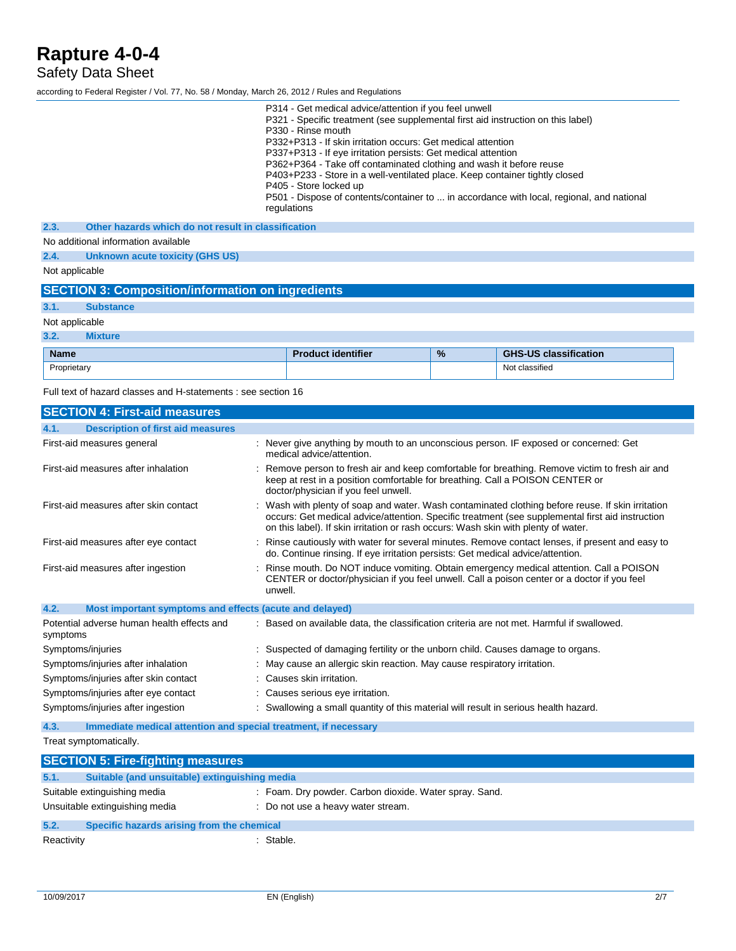## Safety Data Sheet

according to Federal Register / Vol. 77, No. 58 / Monday, March 26, 2012 / Rules and Regulations

Proprietary Not classified

Full text of hazard classes and H-statements : see section 16

| <b>SECTION 4: First-aid measures</b>                                    |                                                                                                                                                                                                                                                                                             |
|-------------------------------------------------------------------------|---------------------------------------------------------------------------------------------------------------------------------------------------------------------------------------------------------------------------------------------------------------------------------------------|
| <b>Description of first aid measures</b><br>4.1.                        |                                                                                                                                                                                                                                                                                             |
| First-aid measures general                                              | : Never give anything by mouth to an unconscious person. IF exposed or concerned: Get<br>medical advice/attention.                                                                                                                                                                          |
| First-aid measures after inhalation                                     | : Remove person to fresh air and keep comfortable for breathing. Remove victim to fresh air and<br>keep at rest in a position comfortable for breathing. Call a POISON CENTER or<br>doctor/physician if you feel unwell.                                                                    |
| First-aid measures after skin contact                                   | : Wash with plenty of soap and water. Wash contaminated clothing before reuse. If skin irritation<br>occurs: Get medical advice/attention. Specific treatment (see supplemental first aid instruction<br>on this label). If skin irritation or rash occurs: Wash skin with plenty of water. |
| First-aid measures after eye contact                                    | : Rinse cautiously with water for several minutes. Remove contact lenses, if present and easy to<br>do. Continue rinsing. If eye irritation persists: Get medical advice/attention.                                                                                                         |
| First-aid measures after ingestion                                      | : Rinse mouth. Do NOT induce vomiting. Obtain emergency medical attention. Call a POISON<br>CENTER or doctor/physician if you feel unwell. Call a poison center or a doctor if you feel<br>unwell.                                                                                          |
| 4.2.<br>Most important symptoms and effects (acute and delayed)         |                                                                                                                                                                                                                                                                                             |
| Potential adverse human health effects and<br>symptoms                  | : Based on available data, the classification criteria are not met. Harmful if swallowed.                                                                                                                                                                                                   |
| Symptoms/injuries                                                       | : Suspected of damaging fertility or the unborn child. Causes damage to organs.                                                                                                                                                                                                             |
| Symptoms/injuries after inhalation                                      | : May cause an allergic skin reaction. May cause respiratory irritation.                                                                                                                                                                                                                    |
| Symptoms/injuries after skin contact                                    | : Causes skin irritation.                                                                                                                                                                                                                                                                   |
| Symptoms/injuries after eye contact                                     | : Causes serious eye irritation.                                                                                                                                                                                                                                                            |
| Symptoms/injuries after ingestion                                       | : Swallowing a small quantity of this material will result in serious health hazard.                                                                                                                                                                                                        |
| 4.3.<br>Immediate medical attention and special treatment, if necessary |                                                                                                                                                                                                                                                                                             |
| Treat symptomatically.                                                  |                                                                                                                                                                                                                                                                                             |

**SECTION 5: Fire-fighting measures 5.1. Suitable (and unsuitable) extinguishing media** Suitable extinguishing media : Foam. Dry powder. Carbon dioxide. Water spray. Sand. Unsuitable extinguishing media : Do not use a heavy water stream. **5.2. Specific hazards arising from the chemical** Reactivity **: Stable.** Stable.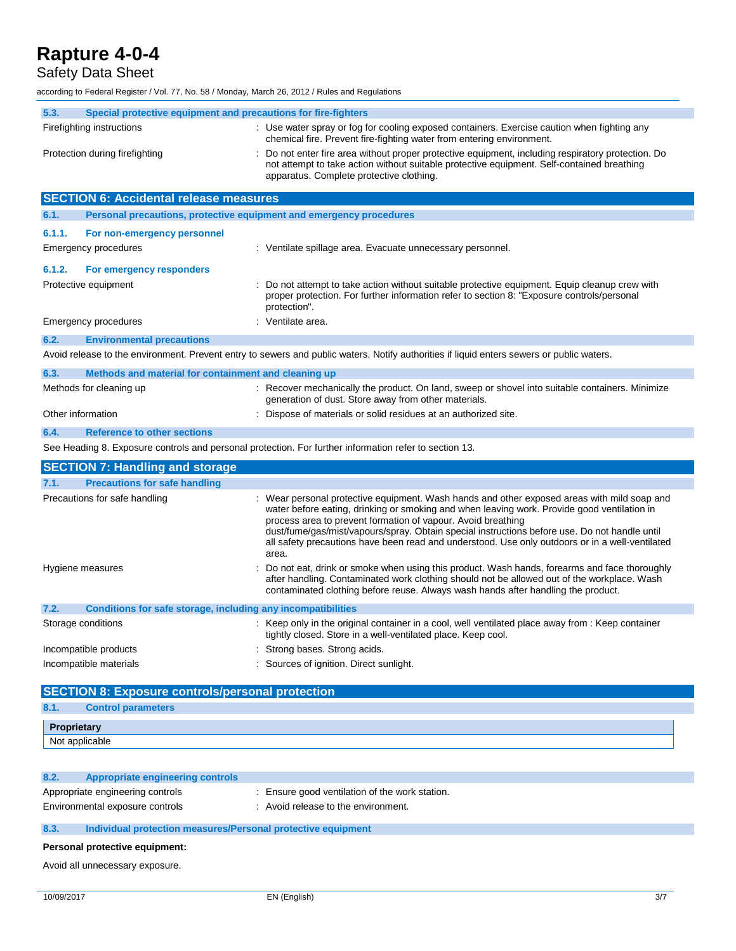## Safety Data Sheet

according to Federal Register / Vol. 77, No. 58 / Monday, March 26, 2012 / Rules and Regulations

| 5.3.   | Special protective equipment and precautions for fire-fighters      |                                                                                                                                                                                                                                                                                                                                                                                                                                                                         |
|--------|---------------------------------------------------------------------|-------------------------------------------------------------------------------------------------------------------------------------------------------------------------------------------------------------------------------------------------------------------------------------------------------------------------------------------------------------------------------------------------------------------------------------------------------------------------|
|        | Firefighting instructions                                           | : Use water spray or fog for cooling exposed containers. Exercise caution when fighting any<br>chemical fire. Prevent fire-fighting water from entering environment.                                                                                                                                                                                                                                                                                                    |
|        | Protection during firefighting                                      | Do not enter fire area without proper protective equipment, including respiratory protection. Do<br>not attempt to take action without suitable protective equipment. Self-contained breathing<br>apparatus. Complete protective clothing.                                                                                                                                                                                                                              |
|        | <b>SECTION 6: Accidental release measures</b>                       |                                                                                                                                                                                                                                                                                                                                                                                                                                                                         |
| 6.1.   |                                                                     | Personal precautions, protective equipment and emergency procedures                                                                                                                                                                                                                                                                                                                                                                                                     |
| 6.1.1. | For non-emergency personnel                                         |                                                                                                                                                                                                                                                                                                                                                                                                                                                                         |
|        | Emergency procedures                                                | : Ventilate spillage area. Evacuate unnecessary personnel.                                                                                                                                                                                                                                                                                                                                                                                                              |
| 6.1.2. | For emergency responders                                            |                                                                                                                                                                                                                                                                                                                                                                                                                                                                         |
|        | Protective equipment                                                | : Do not attempt to take action without suitable protective equipment. Equip cleanup crew with<br>proper protection. For further information refer to section 8: "Exposure controls/personal<br>protection".                                                                                                                                                                                                                                                            |
|        | <b>Emergency procedures</b>                                         | : Ventilate area.                                                                                                                                                                                                                                                                                                                                                                                                                                                       |
| 6.2.   | <b>Environmental precautions</b>                                    |                                                                                                                                                                                                                                                                                                                                                                                                                                                                         |
|        |                                                                     | Avoid release to the environment. Prevent entry to sewers and public waters. Notify authorities if liquid enters sewers or public waters.                                                                                                                                                                                                                                                                                                                               |
| 6.3.   | Methods and material for containment and cleaning up                |                                                                                                                                                                                                                                                                                                                                                                                                                                                                         |
|        | Methods for cleaning up                                             | : Recover mechanically the product. On land, sweep or shovel into suitable containers. Minimize<br>generation of dust. Store away from other materials.                                                                                                                                                                                                                                                                                                                 |
|        | Other information                                                   | Dispose of materials or solid residues at an authorized site.                                                                                                                                                                                                                                                                                                                                                                                                           |
| 6.4.   | <b>Reference to other sections</b>                                  |                                                                                                                                                                                                                                                                                                                                                                                                                                                                         |
|        |                                                                     | See Heading 8. Exposure controls and personal protection. For further information refer to section 13.                                                                                                                                                                                                                                                                                                                                                                  |
|        | <b>SECTION 7: Handling and storage</b>                              |                                                                                                                                                                                                                                                                                                                                                                                                                                                                         |
| 7.1.   | <b>Precautions for safe handling</b>                                |                                                                                                                                                                                                                                                                                                                                                                                                                                                                         |
|        | Precautions for safe handling                                       | : Wear personal protective equipment. Wash hands and other exposed areas with mild soap and<br>water before eating, drinking or smoking and when leaving work. Provide good ventilation in<br>process area to prevent formation of vapour. Avoid breathing<br>dust/fume/gas/mist/vapours/spray. Obtain special instructions before use. Do not handle until<br>all safety precautions have been read and understood. Use only outdoors or in a well-ventilated<br>area. |
|        | Hygiene measures                                                    | Do not eat, drink or smoke when using this product. Wash hands, forearms and face thoroughly<br>after handling. Contaminated work clothing should not be allowed out of the workplace. Wash<br>contaminated clothing before reuse. Always wash hands after handling the product.                                                                                                                                                                                        |
| 7.2.   | <b>Conditions for safe storage, including any incompatibilities</b> |                                                                                                                                                                                                                                                                                                                                                                                                                                                                         |
|        | Storage conditions                                                  | : Keep only in the original container in a cool, well ventilated place away from : Keep container<br>tightly closed. Store in a well-ventilated place. Keep cool.                                                                                                                                                                                                                                                                                                       |
|        | Incompatible products                                               | : Strong bases. Strong acids.                                                                                                                                                                                                                                                                                                                                                                                                                                           |
|        | Incompatible materials                                              | : Sources of ignition. Direct sunlight.                                                                                                                                                                                                                                                                                                                                                                                                                                 |
|        | <b>SECTION 8: Exposure controls/personal protection</b>             |                                                                                                                                                                                                                                                                                                                                                                                                                                                                         |
|        |                                                                     |                                                                                                                                                                                                                                                                                                                                                                                                                                                                         |

| 8.1.            | <b>parameters</b> |
|-----------------|-------------------|
| D <sub>ra</sub> | งrietary          |
| Not applicable  |                   |

#### **8.2. Appropriate engineering controls**

- Appropriate engineering controls : Ensure good ventilation of the work station. Environmental exposure controls : Avoid release to the environment.
	-

#### **8.3. Individual protection measures/Personal protective equipment**

#### **Personal protective equipment:**

Avoid all unnecessary exposure.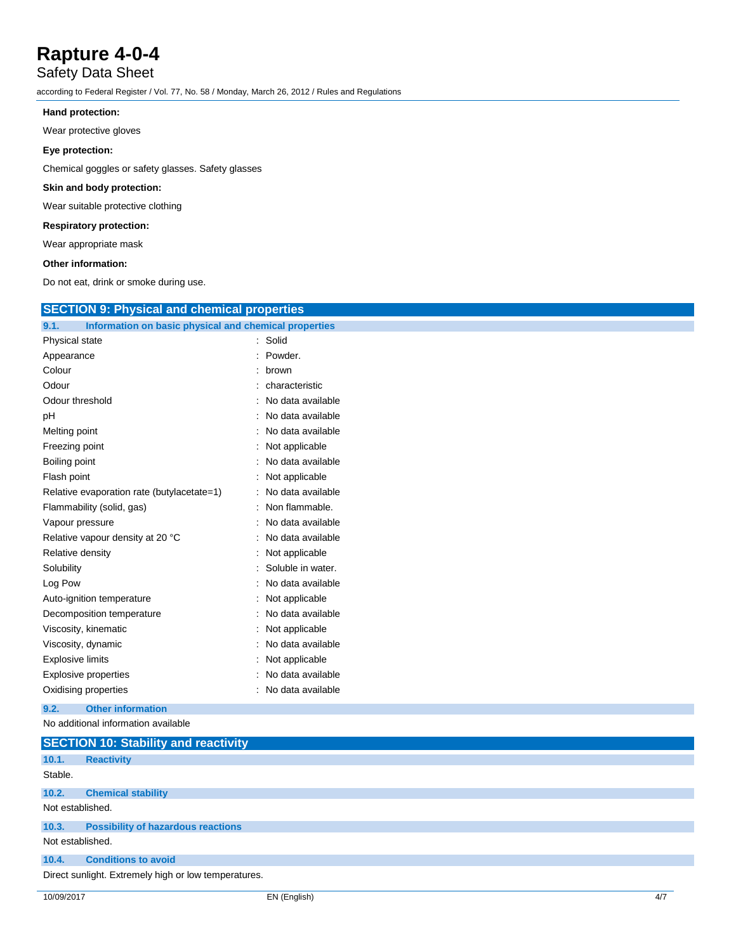## Safety Data Sheet

according to Federal Register / Vol. 77, No. 58 / Monday, March 26, 2012 / Rules and Regulations

### **Hand protection:**

Wear protective gloves

### **Eye protection:**

Chemical goggles or safety glasses. Safety glasses

### **Skin and body protection:**

Wear suitable protective clothing

### **Respiratory protection:**

Wear appropriate mask

#### **Other information:**

Do not eat, drink or smoke during use.

| <b>SECTION 9: Physical and chemical properties</b>            |                     |  |
|---------------------------------------------------------------|---------------------|--|
| Information on basic physical and chemical properties<br>9.1. |                     |  |
| Physical state                                                | : Solid             |  |
| Appearance                                                    | : Powder.           |  |
| Colour                                                        | : brown             |  |
| Odour                                                         | : characteristic    |  |
| Odour threshold                                               | : No data available |  |
| pH                                                            | : No data available |  |
| Melting point                                                 | : No data available |  |
| Freezing point                                                | : Not applicable    |  |
| Boiling point                                                 | : No data available |  |
| Flash point                                                   | : Not applicable    |  |
| Relative evaporation rate (butylacetate=1)                    | : No data available |  |
| Flammability (solid, gas)                                     | : Non flammable.    |  |
| Vapour pressure                                               | : No data available |  |
| Relative vapour density at 20 °C                              | : No data available |  |
| Relative density                                              | : Not applicable    |  |
| Solubility                                                    | : Soluble in water. |  |
| Log Pow                                                       | : No data available |  |
| Auto-ignition temperature                                     | : Not applicable    |  |
| Decomposition temperature                                     | : No data available |  |
| Viscosity, kinematic                                          | : Not applicable    |  |
| Viscosity, dynamic                                            | : No data available |  |
| Explosive limits                                              | : Not applicable    |  |
| <b>Explosive properties</b>                                   | : No data available |  |
| Oxidising properties                                          | : No data available |  |
| <b>Other information</b><br>9.2.                              |                     |  |
| No additional information available                           |                     |  |
| $SFC$ TION $101$ Stability and reactivity                     |                     |  |

|                  | $\overline{a}$                                       |
|------------------|------------------------------------------------------|
| 10.1.            | <b>Reactivity</b>                                    |
| Stable.          |                                                      |
| 10.2.            | <b>Chemical stability</b>                            |
| Not established. |                                                      |
| 10.3.            | <b>Possibility of hazardous reactions</b>            |
| Not established. |                                                      |
| 10.4.            | <b>Conditions to avoid</b>                           |
|                  | Direct sunlight. Extremely high or low temperatures. |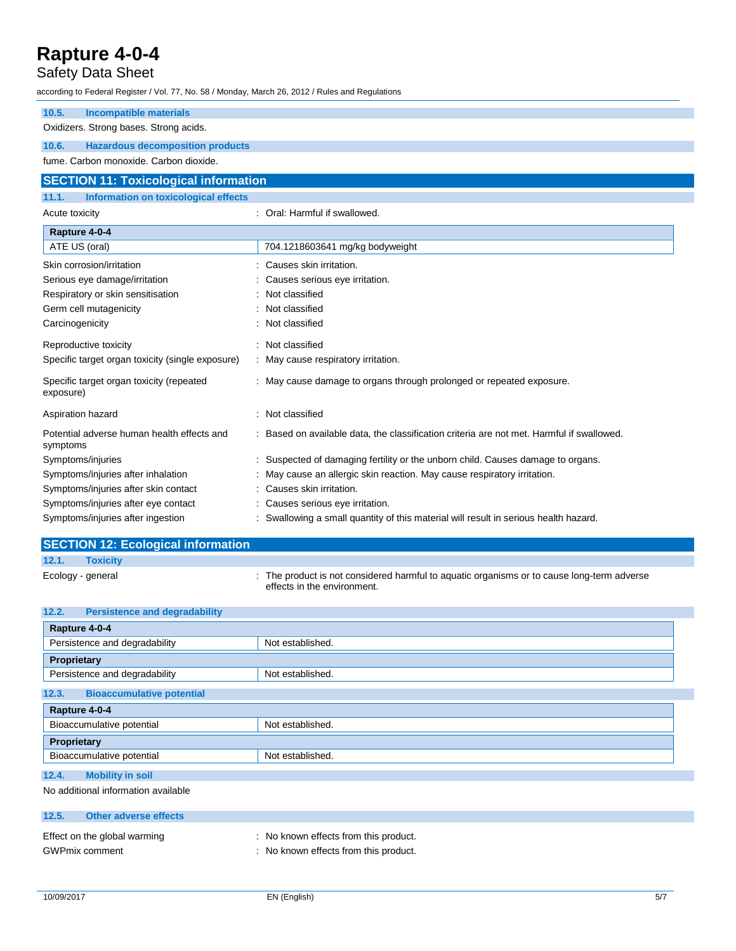## Safety Data Sheet

| according to Federal Register / Vol. 77, No. 58 / Monday, March 26, 2012 / Rules and Regulations |                                                                                           |  |  |
|--------------------------------------------------------------------------------------------------|-------------------------------------------------------------------------------------------|--|--|
| 10.5.<br><b>Incompatible materials</b>                                                           |                                                                                           |  |  |
| Oxidizers. Strong bases. Strong acids.                                                           |                                                                                           |  |  |
| 10.6.<br><b>Hazardous decomposition products</b>                                                 |                                                                                           |  |  |
| fume. Carbon monoxide. Carbon dioxide.                                                           |                                                                                           |  |  |
| <b>SECTION 11: Toxicological information</b>                                                     |                                                                                           |  |  |
| <b>Information on toxicological effects</b><br>11.1.                                             |                                                                                           |  |  |
| Acute toxicity                                                                                   | : Oral: Harmful if swallowed.                                                             |  |  |
| Rapture 4-0-4                                                                                    |                                                                                           |  |  |
| ATE US (oral)                                                                                    | 704.1218603641 mg/kg bodyweight                                                           |  |  |
| Skin corrosion/irritation                                                                        | Causes skin irritation.                                                                   |  |  |
| Serious eye damage/irritation                                                                    | Causes serious eye irritation.                                                            |  |  |
| Respiratory or skin sensitisation                                                                | Not classified                                                                            |  |  |
| Germ cell mutagenicity                                                                           | Not classified                                                                            |  |  |
| Carcinogenicity                                                                                  | Not classified                                                                            |  |  |
| Reproductive toxicity                                                                            | : Not classified                                                                          |  |  |
| Specific target organ toxicity (single exposure)                                                 | : May cause respiratory irritation.                                                       |  |  |
| Specific target organ toxicity (repeated<br>exposure)                                            | : May cause damage to organs through prolonged or repeated exposure.                      |  |  |
| Aspiration hazard                                                                                | : Not classified                                                                          |  |  |
| Potential adverse human health effects and<br>symptoms                                           | : Based on available data, the classification criteria are not met. Harmful if swallowed. |  |  |
| Symptoms/injuries                                                                                | : Suspected of damaging fertility or the unborn child. Causes damage to organs.           |  |  |
| Symptoms/injuries after inhalation                                                               | May cause an allergic skin reaction. May cause respiratory irritation.                    |  |  |
| Symptoms/injuries after skin contact                                                             | : Causes skin irritation.                                                                 |  |  |
| Symptoms/injuries after eye contact                                                              | Causes serious eye irritation.                                                            |  |  |
| Symptoms/injuries after ingestion                                                                | : Swallowing a small quantity of this material will result in serious health hazard.      |  |  |

|                   | <b>SECTION 12: Ecological information</b> |                                                                                                                           |
|-------------------|-------------------------------------------|---------------------------------------------------------------------------------------------------------------------------|
| 12.1.             | <b>Toxicity</b>                           |                                                                                                                           |
| Ecology - general |                                           | : The product is not considered harmful to aguatic organisms or to cause long-term adverse<br>effects in the environment. |

| 12.2.<br><b>Persistence and degradability</b>         |                                                                                |  |  |
|-------------------------------------------------------|--------------------------------------------------------------------------------|--|--|
| Rapture 4-0-4                                         |                                                                                |  |  |
| Persistence and degradability                         | Not established.                                                               |  |  |
| Proprietary                                           |                                                                                |  |  |
| Persistence and degradability                         | Not established.                                                               |  |  |
| <b>Bioaccumulative potential</b><br>12.3.             |                                                                                |  |  |
| Rapture 4-0-4                                         |                                                                                |  |  |
| Bioaccumulative potential                             | Not established.                                                               |  |  |
| Proprietary                                           |                                                                                |  |  |
| Bioaccumulative potential                             | Not established.                                                               |  |  |
| 12.4.<br><b>Mobility in soil</b>                      |                                                                                |  |  |
| No additional information available                   |                                                                                |  |  |
| 12.5.<br><b>Other adverse effects</b>                 |                                                                                |  |  |
| Effect on the global warming<br><b>GWPmix comment</b> | : No known effects from this product.<br>: No known effects from this product. |  |  |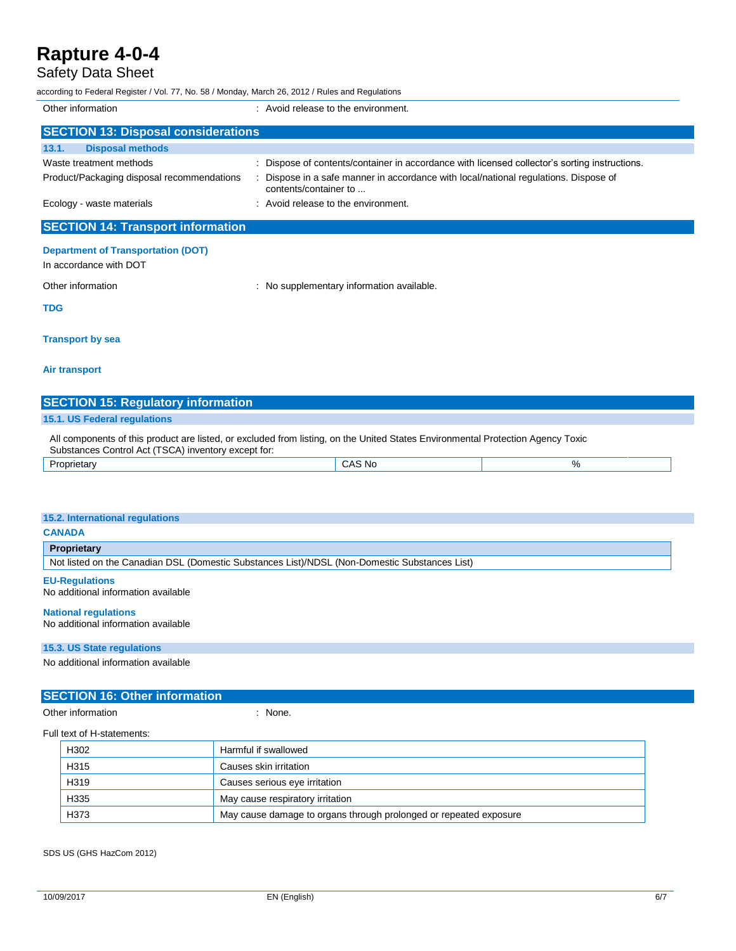## Safety Data Sheet

according to Federal Register / Vol. 77, No. 58 / Monday, March 26, 2012 / Rules and Regulations

| Other information                                                   | : Avoid release to the environment.                                                                           |  |
|---------------------------------------------------------------------|---------------------------------------------------------------------------------------------------------------|--|
| <b>SECTION 13: Disposal considerations</b>                          |                                                                                                               |  |
| <b>Disposal methods</b><br>13.1.                                    |                                                                                                               |  |
| Waste treatment methods                                             | : Dispose of contents/container in accordance with licensed collector's sorting instructions.                 |  |
| Product/Packaging disposal recommendations                          | : Dispose in a safe manner in accordance with local/national regulations. Dispose of<br>contents/container to |  |
| Ecology - waste materials                                           | $\therefore$ Avoid release to the environment.                                                                |  |
| <b>SECTION 14: Transport information</b>                            |                                                                                                               |  |
| <b>Department of Transportation (DOT)</b><br>In accordance with DOT |                                                                                                               |  |
| Other information                                                   | : No supplementary information available.                                                                     |  |
| <b>TDG</b>                                                          |                                                                                                               |  |

**Transport by sea**

#### **Air transport**

| <b>SECTION 15: Regulatory information</b> |  |  |
|-------------------------------------------|--|--|
| 15.1. US Federal regulations              |  |  |

All components of this product are listed, or excluded from listing, on the United States Environmental Protection Agency Toxic Substances Control Act (TSCA) inventory except for: Proprietary CAS No %

| 15.2. International regulations                                                               |  |  |  |
|-----------------------------------------------------------------------------------------------|--|--|--|
| <b>CANADA</b>                                                                                 |  |  |  |
| Proprietary                                                                                   |  |  |  |
| Not listed on the Canadian DSL (Domestic Substances List)/NDSL (Non-Domestic Substances List) |  |  |  |

**EU-Regulations** No additional information available

#### **National regulations**

No additional information available

#### **15.3. US State regulations**

No additional information available

#### **SECTION 16: Other information**

Other information in the contract of the contract of the contract of the contract of the contract of the contract of the contract of the contract of the contract of the contract of the contract of the contract of the contr

Full text of H-statements:

| III ເຮັດເ ບິ່ນ Tratateriterita. |      |                                                                   |
|---------------------------------|------|-------------------------------------------------------------------|
|                                 | H302 | Harmful if swallowed                                              |
|                                 | H315 | Causes skin irritation                                            |
|                                 | H319 | Causes serious eye irritation                                     |
|                                 | H335 | May cause respiratory irritation                                  |
|                                 | H373 | May cause damage to organs through prolonged or repeated exposure |

SDS US (GHS HazCom 2012)